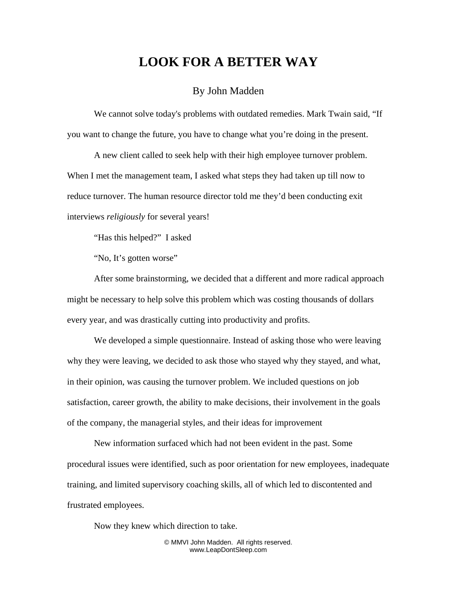## **LOOK FOR A BETTER WAY**

## By John Madden

We cannot solve today's problems with outdated remedies. Mark Twain said, "If you want to change the future, you have to change what you're doing in the present.

A new client called to seek help with their high employee turnover problem. When I met the management team, I asked what steps they had taken up till now to reduce turnover. The human resource director told me they'd been conducting exit interviews *religiously* for several years!

"Has this helped?" I asked

"No, It's gotten worse"

After some brainstorming, we decided that a different and more radical approach might be necessary to help solve this problem which was costing thousands of dollars every year, and was drastically cutting into productivity and profits.

We developed a simple questionnaire. Instead of asking those who were leaving why they were leaving, we decided to ask those who stayed why they stayed, and what, in their opinion, was causing the turnover problem. We included questions on job satisfaction, career growth, the ability to make decisions, their involvement in the goals of the company, the managerial styles, and their ideas for improvement

New information surfaced which had not been evident in the past. Some procedural issues were identified, such as poor orientation for new employees, inadequate training, and limited supervisory coaching skills, all of which led to discontented and frustrated employees.

Now they knew which direction to take.

© MMVI John Madden. All rights reserved. www.LeapDontSleep.com